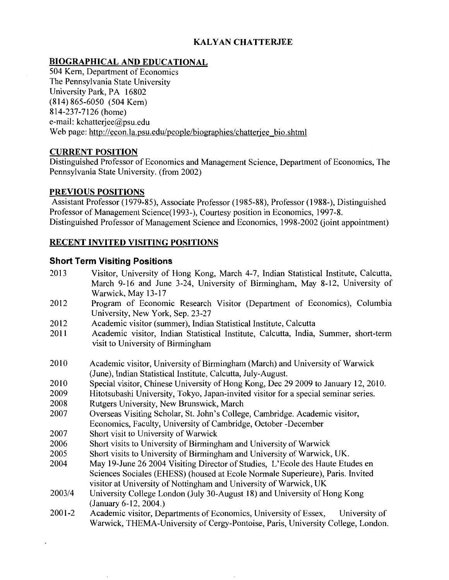## **KAL Y AN CHATTERJEE**

## **BIOGRAPHICAL AND EDUCATIONAL**

504 Kern, Department of Economics The Pennsylvania State University University Park, PA 16802 (814) 865-6050 (504 Kern) 814-237-7126 (home) e-mail: kchatterjee@psu.edu Web page: http://econ.la.psu.edu/people/biographies/chatterjee bio.shtml

## **CURRENT POSITION**

Distinguished Professor of Economics and Management Science, Department of Economics, The Pennsylvania State University. (from 2002)

#### **PREVIOUS POSITIONS**

Assistant Professor (1979-85), Associate Professor (1985-88), Professor (1988-), Distinguished Professor of Management Science( 1993-), Courtesy position in Economics, 1997-8. Distinguished Professor of Management Science and Economics, 1998-2002 (joint appointment)

## **RECENT INVITED VISITING POSITIONS**

## **Short Term Visiting Positions**

- 2013 Visitor, University of Hong Kong, March 4-7, Indian Statistical Institute, Calcutta, March 9-16 and June 3-24, University of Birmingham, May 8-12, University of Warwick, May 13-17
- 2012 Program of Economic Research Visitor (Department of Economics), Columbia University, New York, Sep. 23-27
- 2012 Academic visitor (summer), Indian Statistical Institute, Calcutta
- 2011 Academic visitor, Indian Statistical Institute, Calcutta, India, Summer, short-term visit to University of Birmingham
- 2010 Academic visitor, University of Birmingham (March) and University of Warwick (June), Indian Statistical Institute, Calcutta, July-August.
- 2010 Special visitor, Chinese University of Hong Kong, Dec 29 2009 to January 12, 2010.
- 2009 Hitotsubashi University, Tokyo, Japan-invited visitor for a special seminar series.
- 2008 Rutgers University, New Brunswick, March
- 2007 Overseas Visiting Scholar, St. John's College, Cambridge. Academic visitor, Economics, Faculty, University of Cambridge, October -December
- 2007 Short visit to University of Warwick
- 2006 Short visits to University of Birmingham and University of Warwick
- 2005 Short visits to University of Birmingham and University of Warwick, UK.
- 2004 May 19-June 26 2004 Visiting Director of Studies, L'Ecole des Haute Etudes en Sciences Sociales (EHESS) (housed at Ecole Normale Superieure), Paris. Invited visitor at University of Nottingham and University of Warwick, UK
- 2003/4 University College London (July 30-August 18) and University of Hong Kong (January 6-12, 2004.)
- 2001-2 Academic visitor, Departments of Economics, University of Essex, University of Warwick, THEMA-University of Cergy-Pontoise, Paris, University College, London.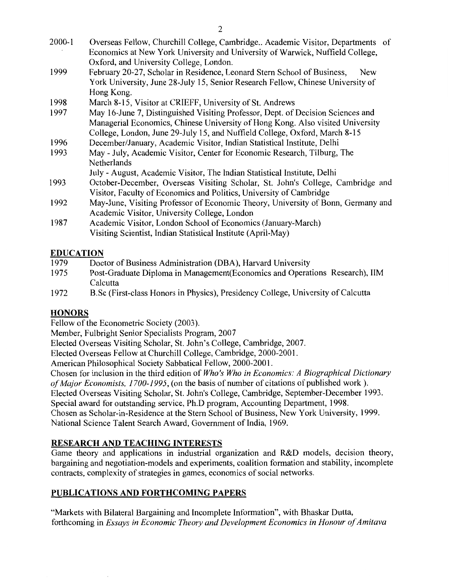| $2000 - 1$ | Overseas Fellow, Churchill College, Cambridge Academic Visitor, Departments of   |
|------------|----------------------------------------------------------------------------------|
|            | Economics at New York University and University of Warwick, Nuffield College,    |
|            | Oxford, and University College, London.                                          |
| 1999       | February 20-27, Scholar in Residence, Leonard Stern School of Business,<br>New   |
|            | York University, June 28-July 15, Senior Research Fellow, Chinese University of  |
|            | Hong Kong.                                                                       |
| 1998       | March 8-15, Visitor at CRIEFF, University of St. Andrews                         |
| 1997       | May 16-June 7, Distinguished Visiting Professor, Dept. of Decision Sciences and  |
|            | Managerial Economics, Chinese University of Hong Kong. Also visited University   |
|            | College, London, June 29-July 15, and Nuffield College, Oxford, March 8-15       |
| 1996       | December/January, Academic Visitor, Indian Statistical Institute, Delhi          |
| 1993       | May - July, Academic Visitor, Center for Economic Research, Tilburg, The         |
|            | Netherlands                                                                      |
|            | July - August, Academic Visitor, The Indian Statistical Institute, Delhi         |
| 1993       | October-December, Overseas Visiting Scholar, St. John's College, Cambridge and   |
|            | Visitor, Faculty of Economics and Politics, University of Cambridge              |
| 1992       | May-June, Visiting Professor of Economic Theory, University of Bonn, Germany and |
|            | Academic Visitor, University College, London                                     |
| 1987       | Academic Visitor, London School of Economics (January-March)                     |
|            | Visiting Scientist, Indian Statistical Institute (April-May)                     |

## **EDUCATION**

| 1979 | Doctor of Business Administration (DBA), Harvard University                      |
|------|----------------------------------------------------------------------------------|
| 1975 | Post-Graduate Diploma in Management (Economics and Operations Research), IIM     |
|      | Calcutta                                                                         |
| 1972 | B.Sc (First-class Honors in Physics), Presidency College, University of Calcutta |

# **HONORS**

Fellow of the Econometric Society (2003).

Member, Fulbright Senior Specialists Program, 2007

Elected Overseas Visiting Scholar, St. John's College, Cambridge, 2007.

Elected Overseas Fellow at Churchill College, Cambridge, 2000-2001.

American Philosophical Society Sabbatical Fellow, 2000-2001.

Chosen for inclusion in the third edition of *Who's Who in Economics: A Biographical Dictionary*  of Major Economists, 1700-1995, (on the basis of number of citations of published work). Elected Overseas Visiting Scholar, St. John's College, Cambridge, September-December 1993. Special award for outstanding service, Ph.D program, Accounting Department, 1998. Chosen as Scholar-in-Residence at the Stern School of Business, New York University, 1999. National Science Talent Search Award, Government of India, 1969.

# **RESEARCH AND TEACHING INTERESTS**

Game theory and applications in industrial organization and R&D models, decision theory, bargaining and negotiation-models and experiments, coalition formation and stability, incomplete contracts, complexity of strategies in games, economics of social networks.

# **PUBLICATIONS AND FORTHCOMING PAPERS**

"Markets with Bilateral Bargaining and Incomplete Information", with Bhaskar Dutta, forthcoming in *Essays in Economic Theory and Development Economics in Honour of Amitava*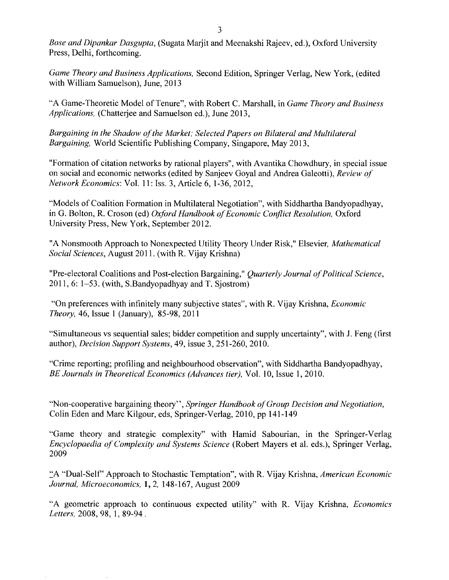*Bose and Dipankar Dasgupta,* (Sugata Marjit and Meenakshi Rajeev, ed.), Oxford University Press, Delhi, forthcoming.

*Game Theory and Business Applications,* Second Edition, Springer Verlag, New York, (edited with William Samuelson), June, 2013

"A Game-Theoretic Model of Tenure", with Robert C. Marshall, in *Game Theory and Business Applications,* (Chatterjee and Samuelson ed.), June 2013,

*Bargaining in the Shadow of the Market; Selected Papers on Bilateral and Multilateral Bargaining,* World Scientific Publishing Company, Singapore, May 2013,

"Formation of citation networks by rational players", with Avantika Chowdhury, in special issue on social and economic networks (edited by Sanjeev Goyal and Andrea Galeotti), *Review of Network Economics:* Vol. 11: Iss. 3, Article 6, 1-36,2012,

"Models of Coalition Formation in Multilateral Negotiation", with Siddhartha Bandyopadhyay, in G. Bolton, R. Croson (ed) *Oxford Handbook of Economic Conflict Resolution,* Oxford University Press, New York, September 2012.

"A Nonsmooth Approach to Nonexpected Utility Theory Under Risk," Elsevier, *Mathematical Social Sciences,* August 2011. (with R. Vijay Krishna)

"Pre-electoral Coalitions and Post-election Bargaining," *Quarterly Journal of Political Science,*  2011,6: 1-53. (with, S.Bandyopadhyay and T. Sjostrom)

"On preferences with infinitely many subjective states", with R. Vijay Krishna, *Economic Theory,* 46, Issue 1 (January), 85-98, 2011

"Simultaneous vs sequential sales; bidder competition and supply uncertainty", with J. Feng (first author), *Decision Support Systems,* 49, issue 3, 251-260,2010.

"Crime reporting; profiling and neighbourhood observation", with Siddhartha Bandyopadhyay, *BE Journals in Theoretical Economics (Advances tier),* Vol. 10, Issue 1, 2010.

"Non-cooperative bargaining theory", *Springer Handbook of Group Decision and Negotiation,*  Colin Eden and Marc Kilgour, eds, Springer-Verlag, 2010, pp 141-149

"Game theory and strategic complexity" with Hamid Sabourian, in the Springer-Verlag *Encyclopaedia of Complexity and Systems Science* (Robert Mayers et al. eds.), Springer Verlag, 2009

~A "Dual-Self' Approach to Stochastic Temptation", with R. Vijay Krishna, *American Economic Journal, Microeconomics,* 1, 2, 148-167, August 2009

"A geometric approach to continuous expected utility" with R. Vijay Krishna, *Economics Letters,* 2008, 98, 1, 89-94 .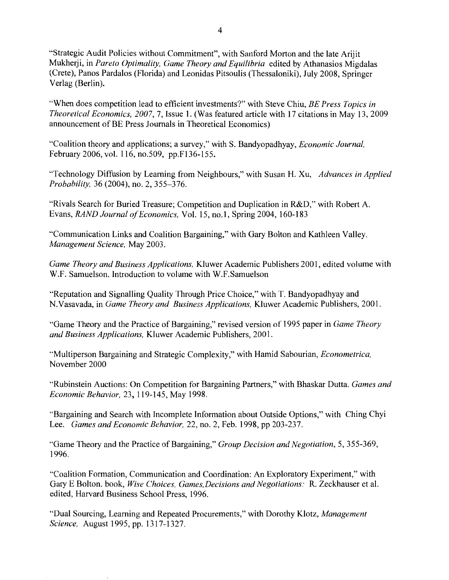"Strategic Audit Policies without Commitment", with Sanford Morton and the late Arijit Mukherji, in *Pareto Optimality, Game Theory and Equilibria* edited by Athanasios Migdalas (Crete), Panos Pardalos (Florida) and Leonidas Pitsoulis (Thessaloniki), July 2008, Springer Verlag (Berlin).

"When does competition lead to efficient investments?" with Steve Chiu, *BE Press Topics in Theoretical Economics, 2007,* 7, Issue 1. (Was featured article with 17 citations in May 13, 2009 announcement of BE Press Journals in Theoretical Economics)

"Coalition theory and applications; a survey," with S. Bandyopadhyay, *Economic Journal,*  February 2006, vol. 116, no.509, pp.F136-155.

"Technology Diffusion by Learning from Neighbours," with Susan H. Xu, *Advances in Applied Probability,* 36 (2004), no. 2, 355-376.

"Rivals Search for Buried Treasure; Competition and Duplication in R&D," with Robert A. Evans, *RAND Journal of Economics,* Vol. 15, no.1, Spring 2004, 160-183

"Communication Links and Coalition Bargaining," with Gary Bolton and Kathleen Valley. *Management Science,* May 2003.

*Game Theory and Business Applications,* Kluwer Academic Publishers 2001, edited volume with W.F. Samuelson. Introduction to volume with W.F.Samuelson

"Reputation and Signalling Quality Through Price Choice," with T. Bandyopadhyay and N. Vasavada, in *Game Theory and Business Applications,* Kluwer Academic Publishers, 2001.

"Game Theory and the Practice of Bargaining," revised version of 1995 paper in *Game Theory and Business Applications,* Kluwer Academic Publishers, 2001.

"Multiperson Bargaining and Strategic Complexity," with Hamid Sabourian, *Econometrica,*  November 2000

"Rubinstein Auctions: On Competition for Bargaining Partners," with Bhaskar Dutta. *Games and Economic Behavior,* 23, 119-145, May 1998.

"Bargaining and Search with Incomplete Information about Outside Options," with Ching Chyi Lee. *Games and Economic Behavior,* 22, no. 2, Feb. 1998, pp 203-237.

"Game Theory and the Practice of Bargaining," *Group Decision and Negotiation,* 5, 355-369, 1996.

"Coalition Formation, Communication and Coordination: An Exploratory Experiment," with Gary E Bolton. book, *Wise Choices, Games,Decisions and Negotiations:* R. Zeckhauser et al. edited, Harvard Business School Press, 1996.

"Dual Sourcing, Learning and Repeated Procurements," with Dorothy Klotz, *Management Science,* August 1995, pp. 1317-1327.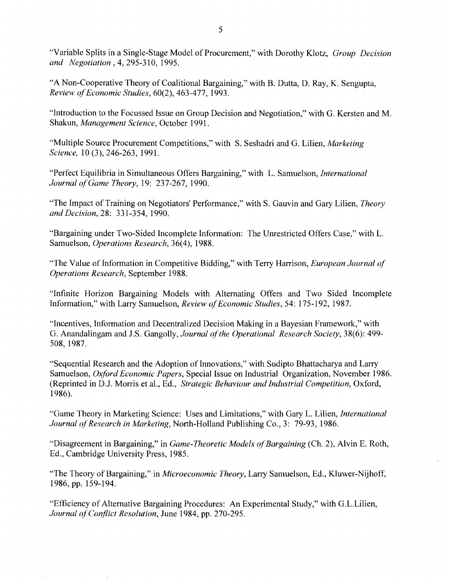"Variable Splits in a Single-Stage Model of Procurement," with Dorothy Klotz, *Group Decision and Negotiation* , 4, 295-310, 1995.

"A Non-Cooperative Theory of Coalitional Bargaining," with B. Dutta, D. Ray, K. Sengupta, *Review of Economic Studies,* 60(2), 463-477, 1993.

"Introduction to the Focussed Issue on Group Decision and Negotiation," with G. Kersten and M. Shakun, *Management Science,* October 1991.

"Multiple Source Procurement Competitions," with S. Seshadri and G. Lilien, *Marketing Science,* 10 (3), 246-263, 1991.

"Perfect Equilibria in Simultaneous Offers Bargaining," with L. Samuelson, *International Journal of Game Theory, 19: 237-267, 1990.* 

"The Impact of Training on Negotiators' Performance," with S. Gauvin and Gary Lilien, *Theory and Decision,* 28: 331-354, 1990.

"Bargaining under Two-Sided Incomplete Information: The Unrestricted Offers Case," with L. Samuelson, *Operations Research,* 36(4), 1988.

"The Value of Information in Competitive Bidding," with Terry Harrison, *European Journal of Operations Research,* September 1988.

"Infinite Horizon Bargaining Models with Alternating Offers and Two Sided Incomplete Information," with Larry Samuelson, *Review of Economic Studies,* 54: 175-192, 1987.

"Incentives, Information and Decentralized Decision Making in a Bayesian Framework," with G. Anandalingam and J.S. Gangolly, *Journal ofthe Operational Research Society,* 38(6): 499- 508, 1987.

"Sequential Research and the Adoption of Innovations," with Sudipto Bhattacharya and Larry Samuelson, *Oxford Economic Papers,* Special Issue on Industrial Organization, November 1986. (Reprinted in D.J. Morris et al., Ed., *Strategic Behaviour and Industrial Competition,* Oxford, 1986).

"Game Theory in Marketing Science: Uses and Limitations," with Gary L. Lilien, *International Journal of Research in Marketing, North-Holland Publishing Co., 3: 79-93, 1986.* 

"Disagreement in Bargaining," in *Game-Theoretic Models of Bargaining* (Ch. 2), Alvin E. Roth, Ed., Cambridge University Press, 1985.

"The Theory of Bargaining," in *Microeconomic Theory*, Larry Samuelson, Ed., Kluwer-Nijhoff, 1986, pp. 159-194.

"Efficiency of Alternative Bargaining Procedures: An Experimental Study," with G.L.Lilien, *Journal ofCoriflict Resolution,* June 1984, pp. 270-295.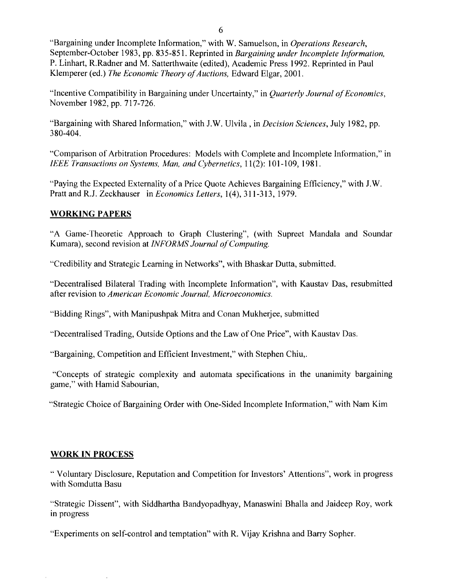"Bargaining under Incomplete Information," with W. Samuelson, in *Operations Research,*  September-October 1983, pp. 835-851. Reprinted in *Bargaining under Incomplete Information,*  P. Linhart, R.Radner and M. Satterthwaite (edited), Academic Press 1992. Reprinted in Paul Klemperer (ed.) *The Economic Theory of Auctions,* Edward Elgar, 2001.

"Incentive Compatibility in Bargaining under Uncertainty," in *Quarterly Journal of Economics,*  November 1982, pp. 717-726.

"Bargaining with Shared Information," with J.W. Ulvila, in *Decision Sciences,* July 1982, pp. 380-404.

"Comparison of Arbitration Procedures: Models with Complete and Incomplete Information," in *IEEE Transactions on Systems, Man, and Cybernetics,* 11(2): 101-109, 1981.

"Paying the Expected Externality of a Price Quote Achieves Bargaining Efficiency," with J. W. Pratt and R.J. Zeckhauser in *Economics Letters*, 1(4), 311-313, 1979.

## **WORKING PAPERS**

"A Game-Theoretic Approach to Graph Clustering", (with Supreet Mandala and Soundar Kumara), second revision at *INFORMS Journal of Computing.* 

"Credibility and Strategic Learning in Networks", with Bhaskar Dutta, submitted.

''Decentralised Bilateral Trading with Incomplete Information", with Kaustav Das, resubmitted after revision to *American Economic Journal, Microeconomics.* 

"Bidding Rings", with Manipushpak Mitra and Conan Mukherjee, submitted

"Decentralised Trading, Outside Options and the Law of One Price", with Kaustav Das.

"Bargaining, Competition and Efficient Investment," with Stephen Chiu,.

"Concepts of strategic complexity and automata specifications in the unanimity bargaining game," with Hamid Sabourian,

"Strategic Choice of Bargaining Order with One-Sided Incomplete Information," with Nam Kim

## **WORK IN PROCESS**

"Voluntary Disclosure, Reputation and Competition for Investors' Attentions", work in progress with Somdutta Basu

"Strategic Dissent", with Siddhartha Bandyopadhyay, Manaswini Bhalla and Jaideep Roy, work m progress

"Experiments on self-control and temptation" with R. Vijay Krishna and Barry Sopher.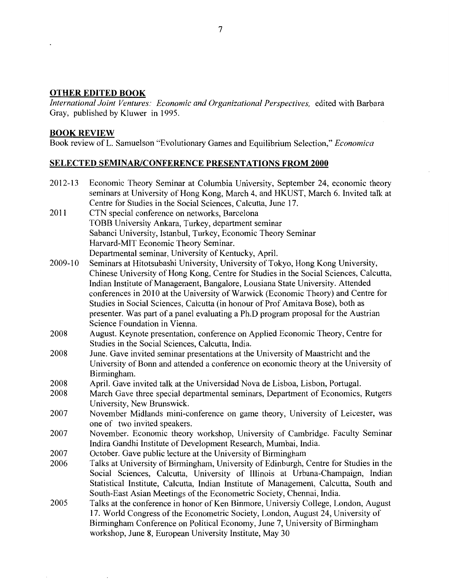## **OTHER EDITED BOOK**

*International Joint Ventures: Economic and Organizational Perspectives,* edited with Barbara Gray, published by Kluwer in 1995.

#### **BOOK REVIEW**

Book review of L. Samuelson "Evolutionary Games and Equilibrium Selection," *Economica* 

## **SELECTED SEMINAR/CONFERENCE PRESENTATIONS FROM 2000**

| 2012-13 | Economic Theory Seminar at Columbia University, September 24, economic theory         |
|---------|---------------------------------------------------------------------------------------|
|         | seminars at University of Hong Kong, March 4, and HKUST, March 6. Invited talk at     |
|         | Centre for Studies in the Social Sciences, Calcutta, June 17.                         |
| 2011    | CTN special conference on networks, Barcelona                                         |
|         | TOBB University Ankara, Turkey, department seminar                                    |
|         | Sabanci University, Istanbul, Turkey, Economic Theory Seminar                         |
|         | Harvard-MIT Economic Theory Seminar.                                                  |
|         | Departmental seminar, University of Kentucky, April.                                  |
| 2009-10 | Seminars at Hitotsubashi University, University of Tokyo, Hong Kong University,       |
|         | Chinese University of Hong Kong, Centre for Studies in the Social Sciences, Calcutta, |
|         | Indian Institute of Management, Bangalore, Lousiana State University. Attended        |
|         | conferences in 2010 at the University of Warwick (Economic Theory) and Centre for     |
|         | Studies in Social Sciences, Calcutta (in honour of Prof Amitava Bose), both as        |
|         | presenter. Was part of a panel evaluating a Ph.D program proposal for the Austrian    |
|         | Science Foundation in Vienna.                                                         |
| 2008    | August. Keynote presentation, conference on Applied Economic Theory, Centre for       |
|         | Studies in the Social Sciences, Calcutta, India.                                      |
| 2008    | June. Gave invited seminar presentations at the University of Maastricht and the      |
|         | University of Bonn and attended a conference on economic theory at the University of  |
|         | Birmingham.                                                                           |
| 2008    | April. Gave invited talk at the Universidad Nova de Lisboa, Lisbon, Portugal.         |
| 2008    | March Gave three special departmental seminars, Department of Economics, Rutgers      |
|         | University, New Brunswick.                                                            |
| 2007    | November Midlands mini-conference on game theory, University of Leicester, was        |
|         | one of two invited speakers.                                                          |
| 2007    | November. Economic theory workshop, University of Cambridge. Faculty Seminar          |
|         | Indira Gandhi Institute of Development Research, Mumbai, India.                       |
| 2007    | October. Gave public lecture at the University of Birmingham                          |
| 2006    | Talks at University of Birmingham, University of Edinburgh, Centre for Studies in the |
|         | Social Sciences, Calcutta, University of Illinois at Urbana-Champaign, Indian         |
|         | Statistical Institute, Calcutta, Indian Institute of Management, Calcutta, South and  |
|         | South-East Asian Meetings of the Econometric Society, Chennai, India.                 |
| 2005    | Talks at the conference in honor of Ken Binmore, Universiy College, London, August    |
|         | 17. World Congress of the Econometric Society, London, August 24, University of       |
|         | Birmingham Conference on Political Economy, June 7, University of Birmingham          |
|         | workshop, June 8, European University Institute, May 30                               |
|         |                                                                                       |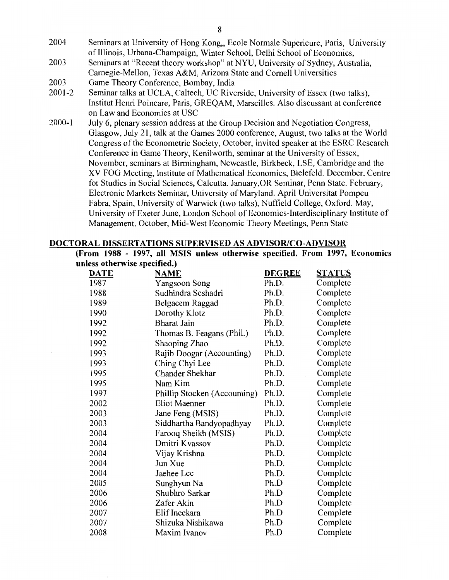- 2004 Seminars at University of Hong Kong, Ecole Normale Superieure, Paris, University of Illinois, Urbana-Champaign, Winter School, Delhi School of Economics,
- 2003 Seminars at "Recent theory workshop" at NYU, University of Sydney, Australia, Carnegie-Mellon, Texas A&M, Arizona State and Cornell Universities
- 2003 Game Theory Conference, Bombay, India
- 2001-2 Seminar talks at UCLA, Caltech, UC Riverside, University of Essex (two talks), Institut Henri Poincare, Paris, GREQAM, Marseilles. Also discussant at conference on Law and Economics at USC
- 2000-1 July 6, plenary session address at the Group Decision and Negotiation Congress, Glasgow, July 21, talk at the Games 2000 conference, August, two talks at the World Congress of the Econometric Society, October, invited speaker at the ESRC Research Conference in Game Theory, Kenilworth, seminar at the University of Essex, November, seminars at Birmingham, Newcastle, Birkbeck, LSE, Cambridge and the XV FOG Meeting, Institute of Mathematical Economics, Bielefeld. December, Centre for Studies in Social Sciences, Calcutta. January,OR Seminar, Penn State. February, Electronic Markets Seminar, University of Maryland. April Universitat Pompeu Fabra, Spain, University of Warwick (two talks), Nuffield College, Oxford. May, University of Exeter June, London School of Economics-Interdisciplinary Institute of Management. October, Mid-West Economic Theory Meetings, Penn State

#### DOCTORAL DISSERTATIONS SUPERVISED AS ADVISOR/CO-ADVISOR

(From 1988 - 1997, all MSIS unless otherwise specified. From 1997, Economics unless otherwise specified.)

| <b>DATE</b> | <b>NAME</b>                  | <b>DEGREE</b> | <b>STATUS</b> |
|-------------|------------------------------|---------------|---------------|
| 1987        | Yangsoon Song                | Ph.D.         | Complete      |
| 1988        | Sudhindra Seshadri           | Ph.D.         | Complete      |
| 1989        | Belgacem Raggad              | Ph.D.         | Complete      |
| 1990        | Dorothy Klotz                | Ph.D.         | Complete      |
| 1992        | <b>Bharat Jain</b>           | Ph.D.         | Complete      |
| 1992        | Thomas B. Feagans (Phil.)    | Ph.D.         | Complete      |
| 1992        | Shaoping Zhao                | Ph.D.         | Complete      |
| 1993        | Rajib Doogar (Accounting)    | Ph.D.         | Complete      |
| 1993        | Ching Chyi Lee               | Ph.D.         | Complete      |
| 1995        | Chander Shekhar              | Ph.D.         | Complete      |
| 1995        | Nam Kim                      | Ph.D.         | Complete      |
| 1997        | Phillip Stocken (Accounting) | Ph.D.         | Complete      |
| 2002        | <b>Eliot Maenner</b>         | Ph.D.         | Complete      |
| 2003        | Jane Feng (MSIS)             | Ph.D.         | Complete      |
| 2003        | Siddhartha Bandyopadhyay     | Ph.D.         | Complete      |
| 2004        | Farooq Sheikh (MSIS)         | Ph.D.         | Complete      |
| 2004        | Dmitri Kvassov               | Ph.D.         | Complete      |
| 2004        | Vijay Krishna                | Ph.D.         | Complete      |
| 2004        | Jun Xue                      | Ph.D.         | Complete      |
| 2004        | Jaehee Lee                   | Ph.D.         | Complete      |
| 2005        | Sunghyun Na                  | Ph.D          | Complete      |
| 2006        | Shubhro Sarkar               | Ph.D          | Complete      |
| 2006        | Zafer Akin                   | Ph.D          | Complete      |
| 2007        | Elif Incekara                | Ph.D          | Complete      |
| 2007        | Shizuka Nishikawa            | Ph.D          | Complete      |
| 2008        | Maxim Ivanov                 | Ph.D          | Complete      |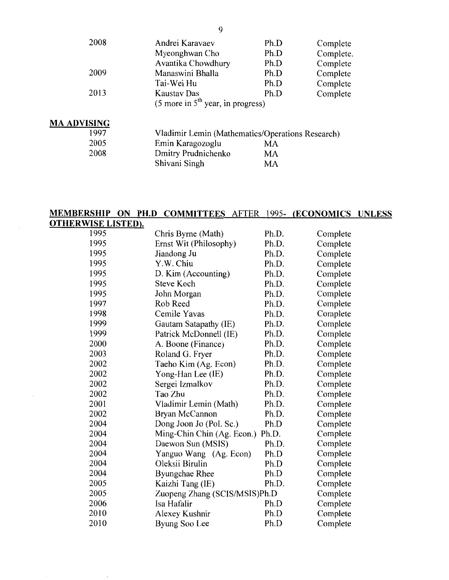| 2008               | Andrei Karavaev<br>Myeonghwan Cho                              | Ph.D<br>Ph.D | Complete<br>Complete. |
|--------------------|----------------------------------------------------------------|--------------|-----------------------|
|                    | Avantika Chowdhury                                             | Ph.D         | Complete              |
| 2009               | Manaswini Bhalla                                               | Ph.D         | Complete              |
|                    | Tai-Wei Hu                                                     | Ph.D         | Complete              |
| 2013               | Kaustav Das                                                    | Ph.D         | Complete              |
|                    | $(5 \text{ more in } 5^{\text{th}} \text{ year, in progress})$ |              |                       |
| <b>MA ADVISING</b> |                                                                |              |                       |
| 1997               | Vladimir Lemin (Mathematics/Operations Research)               |              |                       |
| 2005               | Emin Karagozoglu                                               | MA           |                       |
| 2008               | Dmitry Prudnichenko                                            | MA           |                       |
|                    | Shivani Singh                                                  | MA           |                       |

#### MEMBERSHIP ON **PH.D** COMMITTEES AFTER 1995- (ECONOMICS UNLESS

| <u>OTHERWISE LISTED).</u> |                                  |       |          |
|---------------------------|----------------------------------|-------|----------|
| 1995                      | Chris Byrne (Math)               | Ph.D. | Complete |
| 1995                      | Ernst Wit (Philosophy)           | Ph.D. | Complete |
| 1995                      | Jiandong Ju                      | Ph.D. | Complete |
| 1995                      | Y.W. Chiu                        | Ph.D. | Complete |
| 1995                      | D. Kim (Accounting)              | Ph.D. | Complete |
| 1995                      | <b>Steve Koch</b>                | Ph.D. | Complete |
| 1995                      | John Morgan                      | Ph.D. | Complete |
| 1997                      | Rob Reed                         | Ph.D. | Complete |
| 1998                      | Cemile Yavas                     | Ph.D. | Complete |
| 1999                      | Gautam Satapathy (IE)            | Ph.D. | Complete |
| 1999                      | Patrick McDonnell (IE)           | Ph.D. | Complete |
| 2000                      | A. Boone (Finance)               | Ph.D. | Complete |
| 2003                      | Roland G. Fryer                  | Ph.D. | Complete |
| 2002                      | Taeho Kim (Ag. Econ)             | Ph.D. | Complete |
| 2002                      | Yong-Han Lee (IE)                | Ph.D. | Complete |
| 2002                      | Sergei Izmalkov                  | Ph.D. | Complete |
| 2002                      | Tao Zhu                          | Ph.D. | Complete |
| 2001                      | Vladimir Lemin (Math)            | Ph.D. | Complete |
| 2002                      | Bryan McCannon                   | Ph.D. | Complete |
| 2004                      | Dong Joon Jo (Pol. Sc.)          | Ph.D  | Complete |
| 2004                      | Ming-Chin Chin (Ag. Econ.) Ph.D. |       | Complete |
| 2004                      | Daewon Sun (MSIS)                | Ph.D. | Complete |
| 2004                      | Yanguo Wang (Ag. Econ)           | Ph.D  | Complete |
| 2004                      | Oleksii Birulin                  | Ph.D  | Complete |
| 2004                      | <b>Byungchae Rhee</b>            | Ph.D  | Complete |
| 2005                      | Kaizhi Tang (IE)                 | Ph.D. | Complete |
| 2005                      | Zuopeng Zhang (SCIS/MSIS)Ph.D    |       | Complete |
| 2006                      | Isa Hafalir                      | Ph.D  | Complete |
| 2010                      | Alexey Kushnir                   | Ph.D  | Complete |
| 2010                      | Byung Soo Lee                    | Ph.D  | Complete |

9